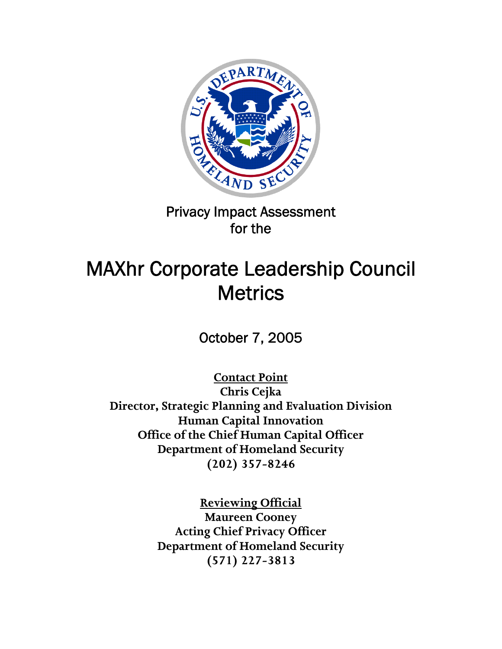

# Privacy Impact Assessment for the

# MAXhr Corporate Leadership Council **Metrics**

October 7, 2005

**Contact Point**

**Chris Cejka Director, Strategic Planning and Evaluation Division Human Capital Innovation Office of the Chief Human Capital Officer Department of Homeland Security (202) 357-8246** 

> **Reviewing Official Maureen Cooney Acting Chief Privacy Officer Department of Homeland Security (571) 227-3813**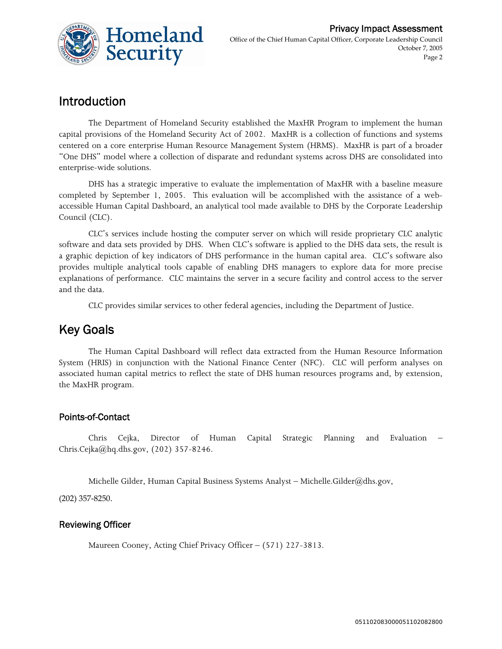

## Introduction

The Department of Homeland Security established the MaxHR Program to implement the human capital provisions of the Homeland Security Act of 2002. MaxHR is a collection of functions and systems centered on a core enterprise Human Resource Management System (HRMS). MaxHR is part of a broader "One DHS" model where a collection of disparate and redundant systems across DHS are consolidated into enterprise-wide solutions.

DHS has a strategic imperative to evaluate the implementation of MaxHR with a baseline measure completed by September 1, 2005. This evaluation will be accomplished with the assistance of a webaccessible Human Capital Dashboard, an analytical tool made available to DHS by the Corporate Leadership Council (CLC).

CLC's services include hosting the computer server on which will reside proprietary CLC analytic software and data sets provided by DHS. When CLC's software is applied to the DHS data sets, the result is a graphic depiction of key indicators of DHS performance in the human capital area. CLC's software also provides multiple analytical tools capable of enabling DHS managers to explore data for more precise explanations of performance. CLC maintains the server in a secure facility and control access to the server and the data.

CLC provides similar services to other federal agencies, including the Department of Justice.

#### Key Goals

The Human Capital Dashboard will reflect data extracted from the Human Resource Information System (HRIS) in conjunction with the National Finance Center (NFC). CLC will perform analyses on associated human capital metrics to reflect the state of DHS human resources programs and, by extension, the MaxHR program.

#### Points-of-Contact

Chris Cejka, Director of Human Capital Strategic Planning and Evaluation – Chris.Cejka@hq.dhs.gov, (202) 357-8246.

Michelle Gilder, Human Capital Business Systems Analyst – Michelle.Gilder@dhs.gov,

(202) 357‐8250.

#### Reviewing Officer

Maureen Cooney, Acting Chief Privacy Officer – (571) 227-3813.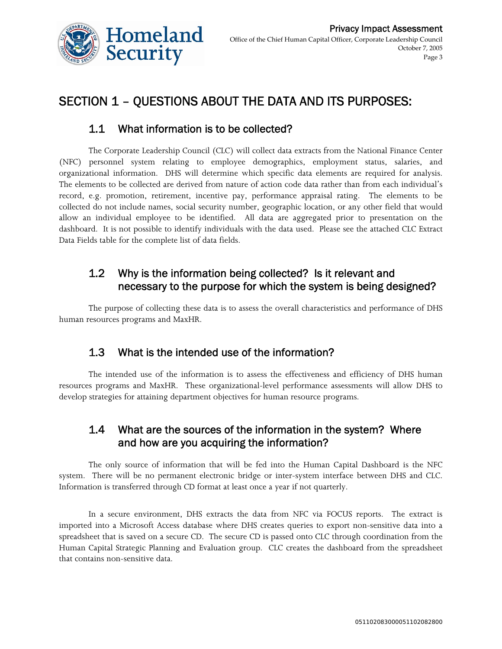

## SECTION 1 – QUESTIONS ABOUT THE DATA AND ITS PURPOSES:

#### 1.1 What information is to be collected?

The Corporate Leadership Council (CLC) will collect data extracts from the National Finance Center (NFC) personnel system relating to employee demographics, employment status, salaries, and organizational information. DHS will determine which specific data elements are required for analysis. The elements to be collected are derived from nature of action code data rather than from each individual's record, e.g. promotion, retirement, incentive pay, performance appraisal rating. The elements to be collected do not include names, social security number, geographic location, or any other field that would allow an individual employee to be identified. All data are aggregated prior to presentation on the dashboard. It is not possible to identify individuals with the data used. Please see the attached CLC Extract Data Fields table for the complete list of data fields.

#### 1.2 Why is the information being collected? Is it relevant and necessary to the purpose for which the system is being designed?

The purpose of collecting these data is to assess the overall characteristics and performance of DHS human resources programs and MaxHR.

#### 1.3 What is the intended use of the information?

The intended use of the information is to assess the effectiveness and efficiency of DHS human resources programs and MaxHR. These organizational-level performance assessments will allow DHS to develop strategies for attaining department objectives for human resource programs.

#### 1.4 What are the sources of the information in the system? Where and how are you acquiring the information?

The only source of information that will be fed into the Human Capital Dashboard is the NFC system. There will be no permanent electronic bridge or inter-system interface between DHS and CLC. Information is transferred through CD format at least once a year if not quarterly.

In a secure environment, DHS extracts the data from NFC via FOCUS reports. The extract is imported into a Microsoft Access database where DHS creates queries to export non-sensitive data into a spreadsheet that is saved on a secure CD. The secure CD is passed onto CLC through coordination from the Human Capital Strategic Planning and Evaluation group. CLC creates the dashboard from the spreadsheet that contains non-sensitive data.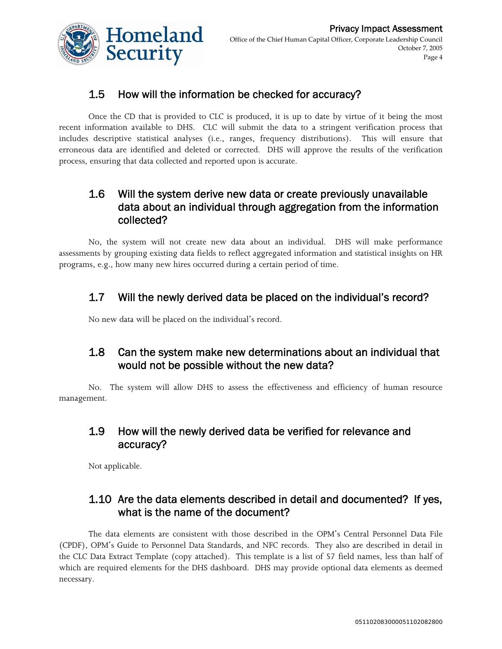

#### 1.5 How will the information be checked for accuracy?

Once the CD that is provided to CLC is produced, it is up to date by virtue of it being the most recent information available to DHS. CLC will submit the data to a stringent verification process that includes descriptive statistical analyses (i.e., ranges, frequency distributions). This will ensure that erroneous data are identified and deleted or corrected. DHS will approve the results of the verification process, ensuring that data collected and reported upon is accurate.

#### 1.6 Will the system derive new data or create previously unavailable data about an individual through aggregation from the information collected?

No, the system will not create new data about an individual. DHS will make performance assessments by grouping existing data fields to reflect aggregated information and statistical insights on HR programs, e.g., how many new hires occurred during a certain period of time.

#### 1.7 Will the newly derived data be placed on the individual's record?

No new data will be placed on the individual's record.

#### 1.8 Can the system make new determinations about an individual that would not be possible without the new data?

No. The system will allow DHS to assess the effectiveness and efficiency of human resource management.

#### 1.9 How will the newly derived data be verified for relevance and accuracy?

Not applicable.

#### 1.10 Are the data elements described in detail and documented? If yes, what is the name of the document?

The data elements are consistent with those described in the OPM's Central Personnel Data File (CPDF), OPM's Guide to Personnel Data Standards, and NFC records. They also are described in detail in the CLC Data Extract Template (copy attached). This template is a list of 57 field names, less than half of which are required elements for the DHS dashboard. DHS may provide optional data elements as deemed necessary.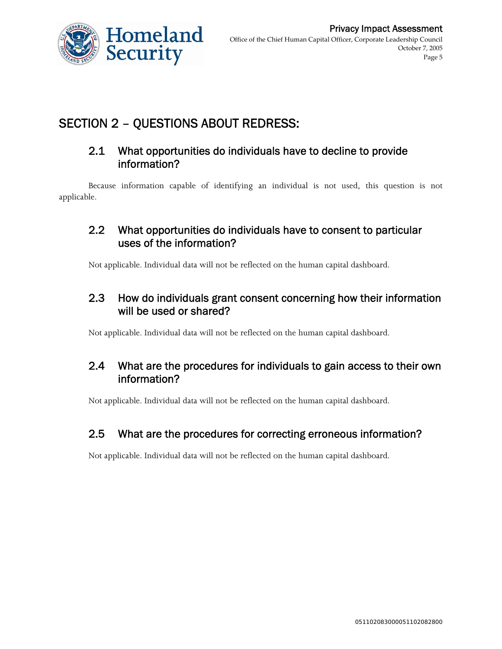

## SECTION 2 – QUESTIONS ABOUT REDRESS:

#### 2.1 What opportunities do individuals have to decline to provide information?

Because information capable of identifying an individual is not used, this question is not applicable.

#### 2.2 What opportunities do individuals have to consent to particular uses of the information?

Not applicable. Individual data will not be reflected on the human capital dashboard.

#### 2.3 How do individuals grant consent concerning how their information will be used or shared?

Not applicable. Individual data will not be reflected on the human capital dashboard.

#### 2.4 What are the procedures for individuals to gain access to their own information?

Not applicable. Individual data will not be reflected on the human capital dashboard.

#### 2.5 What are the procedures for correcting erroneous information?

Not applicable. Individual data will not be reflected on the human capital dashboard.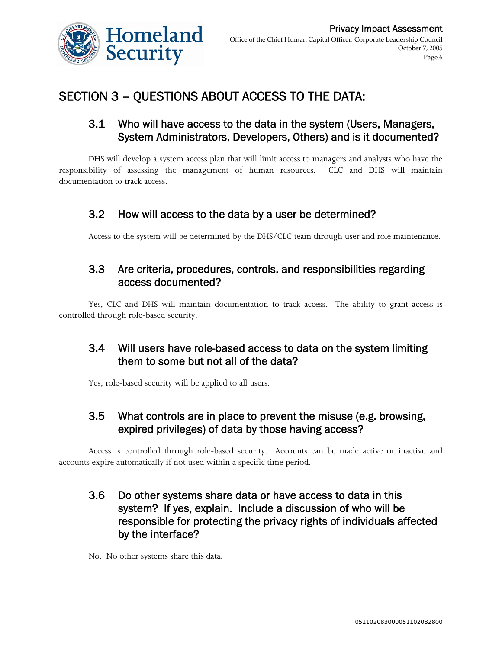

## SECTION 3 – QUESTIONS ABOUT ACCESS TO THE DATA:

#### 3.1 Who will have access to the data in the system (Users, Managers, System Administrators, Developers, Others) and is it documented?

DHS will develop a system access plan that will limit access to managers and analysts who have the responsibility of assessing the management of human resources. CLC and DHS will maintain documentation to track access.

#### 3.2 How will access to the data by a user be determined?

Access to the system will be determined by the DHS/CLC team through user and role maintenance.

#### 3.3 Are criteria, procedures, controls, and responsibilities regarding access documented?

Yes, CLC and DHS will maintain documentation to track access. The ability to grant access is controlled through role-based security.

#### 3.4 Will users have role-based access to data on the system limiting them to some but not all of the data?

Yes, role-based security will be applied to all users.

#### 3.5 What controls are in place to prevent the misuse (e.g. browsing, expired privileges) of data by those having access?

Access is controlled through role-based security. Accounts can be made active or inactive and accounts expire automatically if not used within a specific time period.

#### 3.6 Do other systems share data or have access to data in this system? If yes, explain. Include a discussion of who will be responsible for protecting the privacy rights of individuals affected by the interface?

No. No other systems share this data.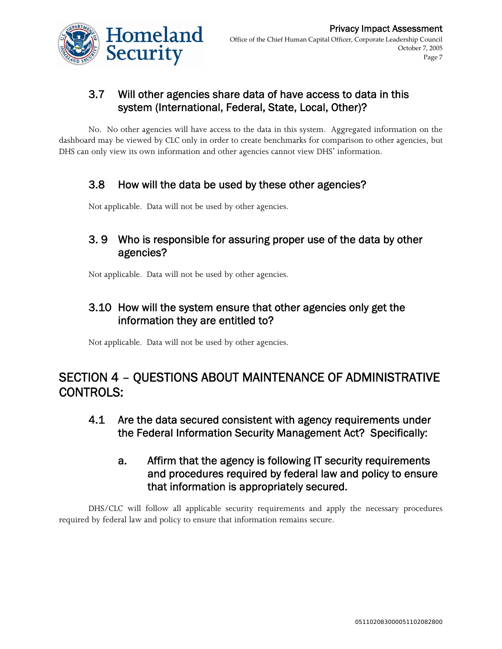

#### 3.7 Will other agencies share data of have access to data in this system (International, Federal, State, Local, Other)?

No. No other agencies will have access to the data in this system. Aggregated information on the dashboard may be viewed by CLC only in order to create benchmarks for comparison to other agencies, but DHS can only view its own information and other agencies cannot view DHS' information.

#### 3.8 How will the data be used by these other agencies?

Not applicable. Data will not be used by other agencies.

#### 3. 9 Who is responsible for assuring proper use of the data by other agencies?

Not applicable. Data will not be used by other agencies.

#### 3.10 How will the system ensure that other agencies only get the information they are entitled to?

Not applicable. Data will not be used by other agencies.

## SECTION 4 – QUESTIONS ABOUT MAINTENANCE OF ADMINISTRATIVE CONTROLS:

- 4.1 Are the data secured consistent with agency requirements under the Federal Information Security Management Act? Specifically:
	- a. Affirm that the agency is following IT security requirements and procedures required by federal law and policy to ensure that information is appropriately secured.

DHS/CLC will follow all applicable security requirements and apply the necessary procedures required by federal law and policy to ensure that information remains secure.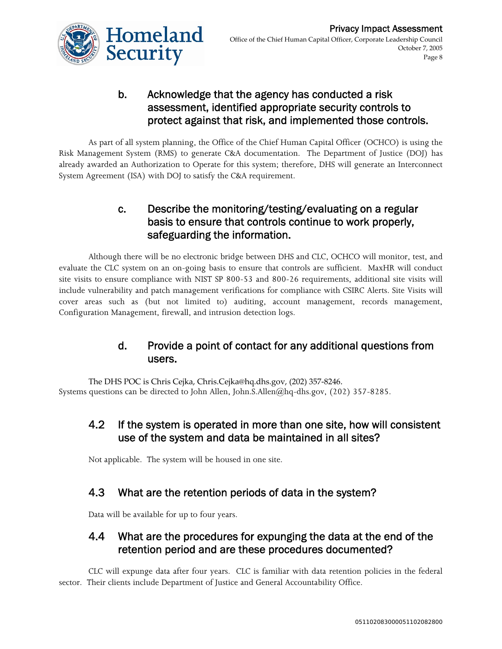

#### b. Acknowledge that the agency has conducted a risk assessment, identified appropriate security controls to protect against that risk, and implemented those controls.

As part of all system planning, the Office of the Chief Human Capital Officer (OCHCO) is using the Risk Management System (RMS) to generate C&A documentation. The Department of Justice (DOJ) has already awarded an Authorization to Operate for this system; therefore, DHS will generate an Interconnect System Agreement (ISA) with DOJ to satisfy the C&A requirement.

#### c. Describe the monitoring/testing/evaluating on a regular basis to ensure that controls continue to work properly, safeguarding the information.

Although there will be no electronic bridge between DHS and CLC, OCHCO will monitor, test, and evaluate the CLC system on an on-going basis to ensure that controls are sufficient. MaxHR will conduct site visits to ensure compliance with NIST SP 800-53 and 800-26 requirements, additional site visits will include vulnerability and patch management verifications for compliance with CSIRC Alerts. Site Visits will cover areas such as (but not limited to) auditing, account management, records management, Configuration Management, firewall, and intrusion detection logs.

#### d. Provide a point of contact for any additional questions from users.

The DHS POC is Chris Cejka, Chris.Cejka@hq.dhs.gov, (202) 357‐8246. Systems questions can be directed to John Allen, John.S.Allen@hq-dhs.gov, (202) 357-8285.

#### 4.2 If the system is operated in more than one site, how will consistent use of the system and data be maintained in all sites?

Not applicable. The system will be housed in one site.

#### 4.3 What are the retention periods of data in the system?

Data will be available for up to four years.

#### 4.4 What are the procedures for expunging the data at the end of the retention period and are these procedures documented?

CLC will expunge data after four years. CLC is familiar with data retention policies in the federal sector. Their clients include Department of Justice and General Accountability Office.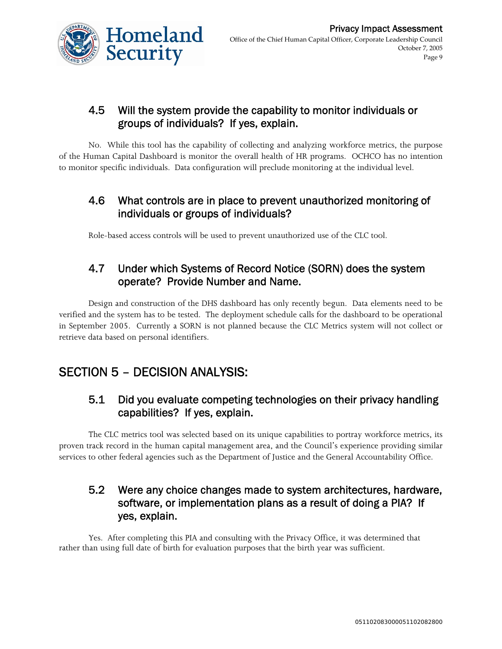

#### 4.5 Will the system provide the capability to monitor individuals or groups of individuals? If yes, explain.

No. While this tool has the capability of collecting and analyzing workforce metrics, the purpose of the Human Capital Dashboard is monitor the overall health of HR programs. OCHCO has no intention to monitor specific individuals. Data configuration will preclude monitoring at the individual level.

#### 4.6 What controls are in place to prevent unauthorized monitoring of individuals or groups of individuals?

Role-based access controls will be used to prevent unauthorized use of the CLC tool.

#### 4.7 Under which Systems of Record Notice (SORN) does the system operate? Provide Number and Name.

Design and construction of the DHS dashboard has only recently begun. Data elements need to be verified and the system has to be tested. The deployment schedule calls for the dashboard to be operational in September 2005. Currently a SORN is not planned because the CLC Metrics system will not collect or retrieve data based on personal identifiers.

## SECTION 5 – DECISION ANALYSIS:

#### 5.1 Did you evaluate competing technologies on their privacy handling capabilities? If yes, explain.

The CLC metrics tool was selected based on its unique capabilities to portray workforce metrics, its proven track record in the human capital management area, and the Council's experience providing similar services to other federal agencies such as the Department of Justice and the General Accountability Office.

#### 5.2 Were any choice changes made to system architectures, hardware, software, or implementation plans as a result of doing a PIA? If yes, explain.

Yes. After completing this PIA and consulting with the Privacy Office, it was determined that rather than using full date of birth for evaluation purposes that the birth year was sufficient.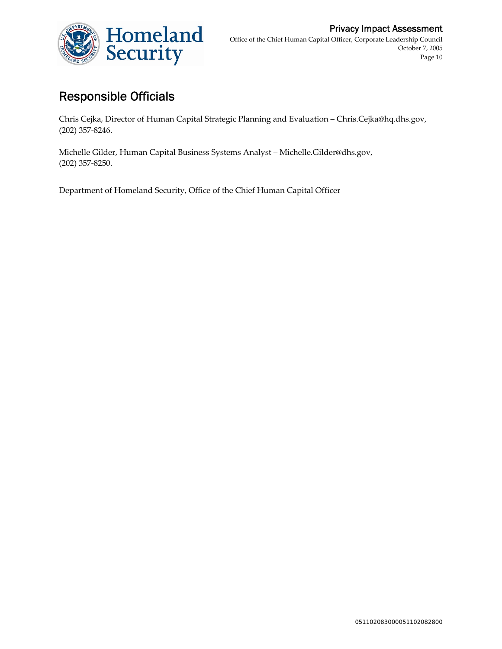

## Responsible Officials

Chris Cejka, Director of Human Capital Strategic Planning and Evaluation – Chris.Cejka@hq.dhs.gov, (202) 357‐8246.

Michelle Gilder, Human Capital Business Systems Analyst – Michelle.Gilder@dhs.gov, (202) 357‐8250.

Department of Homeland Security, Office of the Chief Human Capital Officer